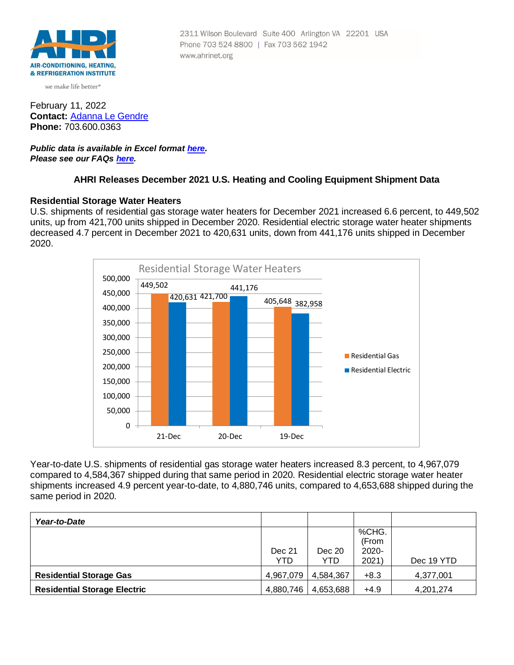

we make life better<sup>®</sup>

February 11, 2022 **Contact:** [Adanna Le Gendre](mailto:AleGendre@ahrinet.org) **Phone:** 703.600.0363

*Public data is available in Excel format [here](https://ahrinet.org/Portals/Reports/December%202021%20Numbers.xls). Please see our FAQs [here.](#page-4-0)*

## **AHRI Releases December 2021 U.S. Heating and Cooling Equipment Shipment Data**

### **Residential Storage Water Heaters**

U.S. shipments of residential gas storage water heaters for December 2021 increased 6.6 percent, to 449,502 units, up from 421,700 units shipped in December 2020. Residential electric storage water heater shipments decreased 4.7 percent in December 2021 to 420,631 units, down from 441,176 units shipped in December 2020.



Year-to-date U.S. shipments of residential gas storage water heaters increased 8.3 percent, to 4,967,079 compared to 4,584,367 shipped during that same period in 2020. Residential electric storage water heater shipments increased 4.9 percent year-to-date, to 4,880,746 units, compared to 4,653,688 shipped during the same period in 2020.

| Year-to-Date                        |           |           |        |            |
|-------------------------------------|-----------|-----------|--------|------------|
|                                     |           |           | %CHG.  |            |
|                                     |           |           | (From  |            |
|                                     | Dec 21    | Dec 20    | 2020-  |            |
|                                     | YTD       | YTD       | 2021)  | Dec 19 YTD |
| <b>Residential Storage Gas</b>      | 4,967,079 | 4,584,367 | $+8.3$ | 4,377,001  |
| <b>Residential Storage Electric</b> | 4,880,746 | 4,653,688 | $+4.9$ | 4,201,274  |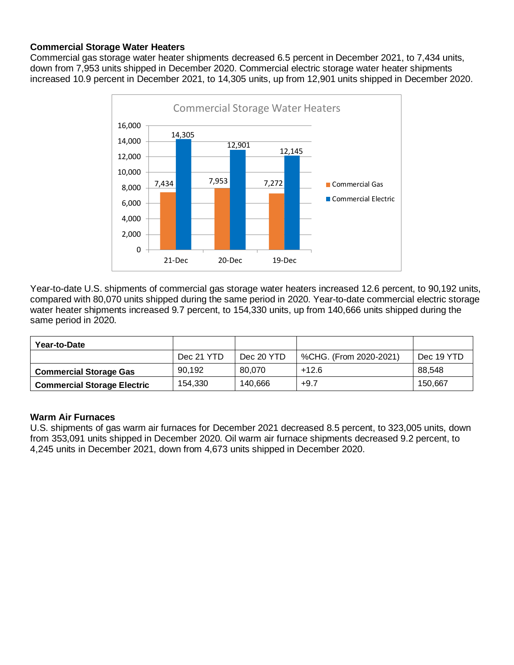# **Commercial Storage Water Heaters**

Commercial gas storage water heater shipments decreased 6.5 percent in December 2021, to 7,434 units, down from 7,953 units shipped in December 2020. Commercial electric storage water heater shipments increased 10.9 percent in December 2021, to 14,305 units, up from 12,901 units shipped in December 2020.



Year-to-date U.S. shipments of commercial gas storage water heaters increased 12.6 percent, to 90,192 units, compared with 80,070 units shipped during the same period in 2020. Year-to-date commercial electric storage water heater shipments increased 9.7 percent, to 154,330 units, up from 140,666 units shipped during the same period in 2020.

| Year-to-Date                       |            |            |                        |            |
|------------------------------------|------------|------------|------------------------|------------|
|                                    | Dec 21 YTD | Dec 20 YTD | %CHG. (From 2020-2021) | Dec 19 YTD |
| <b>Commercial Storage Gas</b>      | 90.192     | 80.070     | $+12.6$                | 88.548     |
| <b>Commercial Storage Electric</b> | 154.330    | 140,666    | $+9.7$                 | 150.667    |

## **Warm Air Furnaces**

U.S. shipments of gas warm air furnaces for December 2021 decreased 8.5 percent, to 323,005 units, down from 353,091 units shipped in December 2020. Oil warm air furnace shipments decreased 9.2 percent, to 4,245 units in December 2021, down from 4,673 units shipped in December 2020.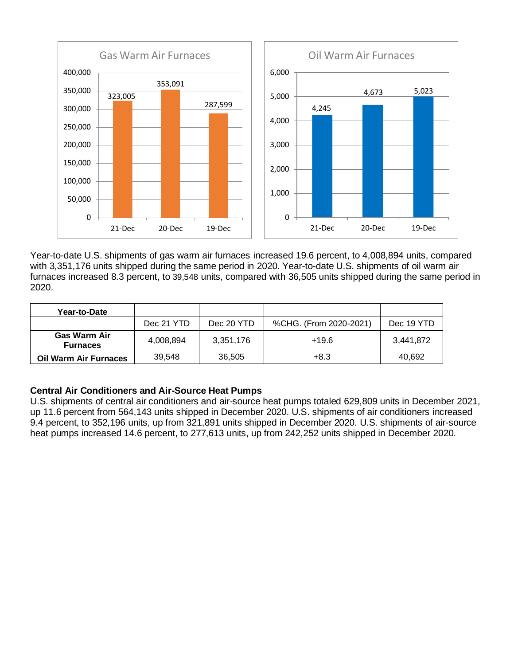

Year-to-date U.S. shipments of gas warm air furnaces increased 19.6 percent, to 4,008,894 units, compared with 3,351,176 units shipped during the same period in 2020. Year-to-date U.S. shipments of oil warm air furnaces increased 8.3 percent, to 39,548 units, compared with 36,505 units shipped during the same period in 2020.

| Year-to-Date                           |            |            |                        |            |
|----------------------------------------|------------|------------|------------------------|------------|
|                                        | Dec 21 YTD | Dec 20 YTD | %CHG. (From 2020-2021) | Dec 19 YTD |
| <b>Gas Warm Air</b><br><b>Furnaces</b> | 4,008,894  | 3,351,176  | +19.6                  | 3,441,872  |
| <b>Oil Warm Air Furnaces</b>           | 39.548     | 36,505     | $+8.3$                 | 40,692     |

# **Central Air Conditioners and Air-Source Heat Pumps**

U.S. shipments of central air conditioners and air-source heat pumps totaled 629,809 units in December 2021, up 11.6 percent from 564,143 units shipped in December 2020. U.S. shipments of air conditioners increased 9.4 percent, to 352,196 units, up from 321,891 units shipped in December 2020. U.S. shipments of air-source heat pumps increased 14.6 percent, to 277,613 units, up from 242,252 units shipped in December 2020.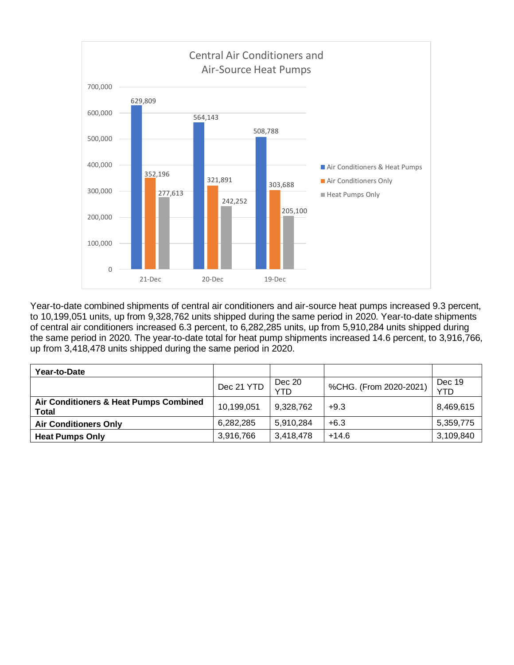

Year-to-date combined shipments of central air conditioners and air-source heat pumps increased 9.3 percent, to 10,199,051 units, up from 9,328,762 units shipped during the same period in 2020. Year-to-date shipments of central air conditioners increased 6.3 percent, to 6,282,285 units, up from 5,910,284 units shipped during the same period in 2020. The year-to-date total for heat pump shipments increased 14.6 percent, to 3,916,766, up from 3,418,478 units shipped during the same period in 2020.

| Year-to-Date                                           |            |               |                        |                      |
|--------------------------------------------------------|------------|---------------|------------------------|----------------------|
|                                                        | Dec 21 YTD | Dec 20<br>YTD | %CHG. (From 2020-2021) | Dec 19<br><b>YTD</b> |
| Air Conditioners & Heat Pumps Combined<br><b>Total</b> | 10,199,051 | 9,328,762     | $+9.3$                 | 8,469,615            |
| <b>Air Conditioners Only</b>                           | 6,282,285  | 5,910,284     | $+6.3$                 | 5,359,775            |
| <b>Heat Pumps Only</b>                                 | 3,916,766  | 3,418,478     | $+14.6$                | 3,109,840            |